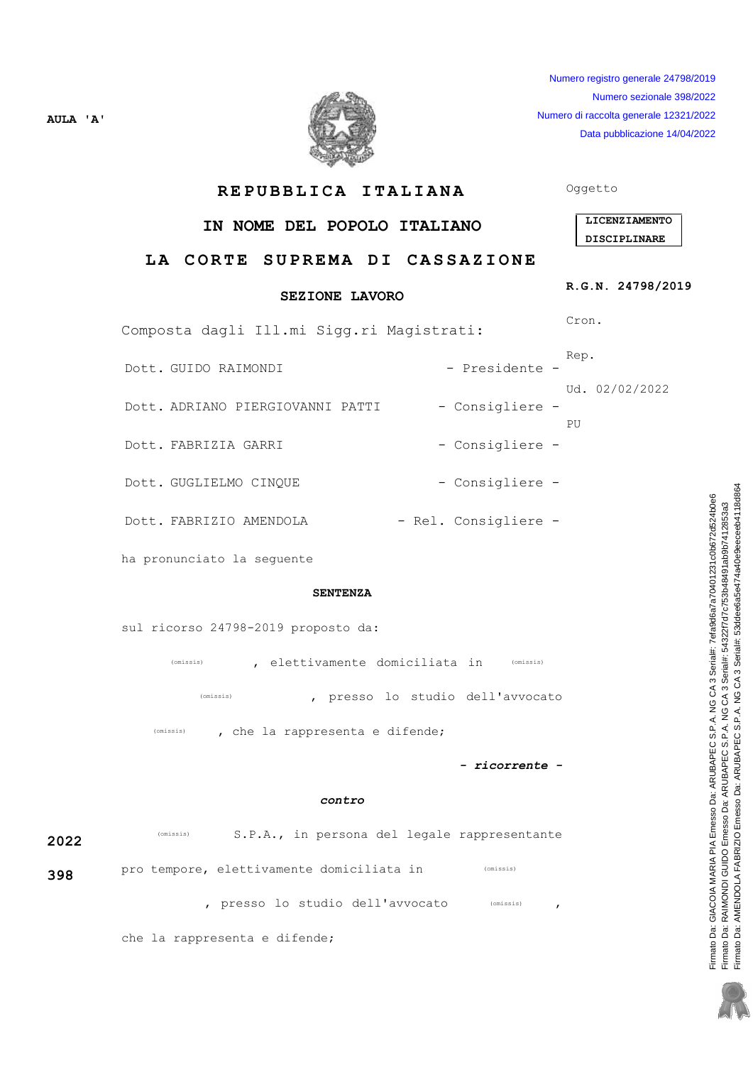Numero registro generale 24798/2019 Numero sezionale 398/2022 Numero di raccolta generale 12321/2022 Data pubblicazione 14/04/2022



REPUBBLICA ITALIANA

# IN NOME DEL POPOLO ITALIANO

# LA CORTE SUPREMA DI CASSAZIONE

## **SEZIONE LAVORO**

Composta dagli Ill.mi Sigg.ri Magistrati:

- Dott, GUIDO RAIMONDI
- Dott. ADRIANO PIERGIOVANNI PATTI
- Dott. FABRIZIA GARRI

AULA 'A'

- Dott. GUGLIELMO CINOUE
- Dott. FABRIZIO AMENDOLA
- ha pronunciato la seguente

### **SENTENZA**

sul ricorso 24798-2019 proposto da:

, elettivamente domiciliata in (Omissis) (omissis)

(omissis) , presso lo studio dell'avvocato

 $(omissis)$ , che la rappresenta e difende;

- ricorrente -

### contro

| 2022 | (omissis)                                 |                                |  |  | S.P.A., in persona del legale rappresentante |  |
|------|-------------------------------------------|--------------------------------|--|--|----------------------------------------------|--|
| 398  | pro tempore, elettivamente domiciliata in |                                |  |  | (omissis)                                    |  |
|      |                                           | presso lo studio dell'avvocato |  |  | (omissis)                                    |  |

che la rappresenta e difende;

Oggetto

| <b>LICENZIAMENTO</b> |
|----------------------|
| <b>DISCIPLINARE</b>  |

## R.G.N. 24798/2019

Cron.

Rep.

Ud. 02/02/2022

PU

- Consigliere -

- Presidente -

- Consigliere -

- Consigliere -

- Rel. Consigliere -

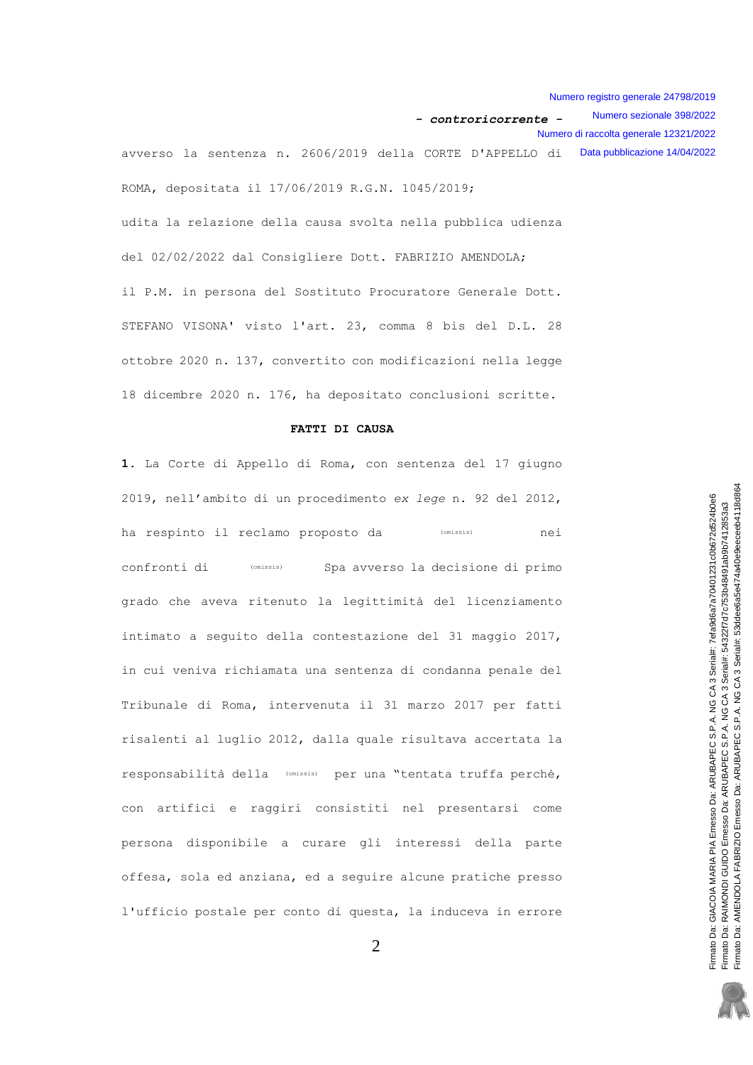Numero registro generale 24798/2019 Numero sezionale 398/2022 - controricorrente -Numero di raccolta generale 12321/2022 avverso la sentenza n. 2606/2019 della CORTE D'APPELLO di Data pubblicazione 14/04/2022 ROMA, depositata il 17/06/2019 R.G.N. 1045/2019;

udita la relazione della causa svolta nella pubblica udienza del 02/02/2022 dal Consigliere Dott. FABRIZIO AMENDOLA; il P.M. in persona del Sostituto Procuratore Generale Dott. STEFANO VISONA' visto l'art. 23, comma 8 bis del D.L. 28 ottobre 2020 n. 137, convertito con modificazioni nella legge 18 dicembre 2020 n. 176, ha depositato conclusioni scritte.

### FATTI DI CAUSA

1. La Corte di Appello di Roma, con sentenza del 17 giugno 2019, nell'ambito di un procedimento ex lege n. 92 del 2012, ha respinto il reclamo proposto da (omissis) nei confronti di (omissis) Spa avverso la decisione di primo grado che aveva ritenuto la legittimità del licenziamento intimato a seguito della contestazione del 31 maggio 2017, in cui veniva richiamata una sentenza di condanna penale del Tribunale di Roma, intervenuta il 31 marzo 2017 per fatti risalenti al luglio 2012, dalla quale risultava accertata la responsabilità della (omissis) per una "tentata truffa perché, con artifici e raggiri consistiti nel presentarsi come persona disponibile a curare gli interessi della parte offesa, sola ed anziana, ed a sequire alcune pratiche presso l'ufficio postale per conto di questa, la induceva in errore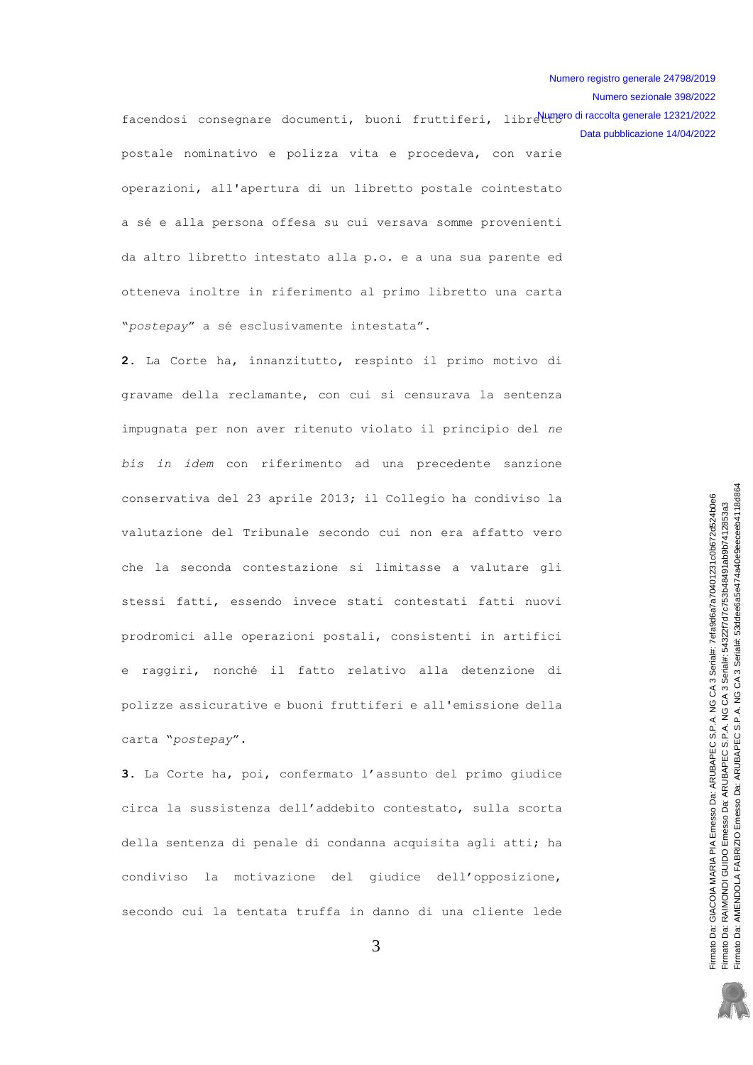Numero sezionale 398/2022

facendosi consegnare documenti, buoni fruttiferi, librelungero di raccolta generale 12321/2022 Data pubblicazione 14/04/2022 postale nominativo e polizza vita e procedeva, con varie operazioni, all'apertura di un libretto postale cointestato a sé e alla persona offesa su cui versava somme provenienti da altro libretto intestato alla p.o. e a una sua parente ed otteneva inoltre in riferimento al primo libretto una carta "postepay" a sé esclusivamente intestata".

2. La Corte ha, innanzitutto, respinto il primo motivo di gravame della reclamante, con cui si censurava la sentenza impugnata per non aver ritenuto violato il principio del ne bis in idem con riferimento ad una precedente sanzione conservativa del 23 aprile 2013; il Collegio ha condiviso la valutazione del Tribunale secondo cui non era affatto vero che la seconda contestazione si limitasse a valutare gli stessi fatti, essendo invece stati contestati fatti nuovi prodromici alle operazioni postali, consistenti in artifici e raggiri, nonché il fatto relativo alla detenzione di polizze assicurative e buoni fruttiferi e all'emissione della carta "postepay".

3. La Corte ha, poi, confermato l'assunto del primo giudice circa la sussistenza dell'addebito contestato, sulla scorta della sentenza di penale di condanna acquisita agli atti; ha condiviso la motivazione del giudice dell'opposizione, secondo cui la tentata truffa in danno di una cliente lede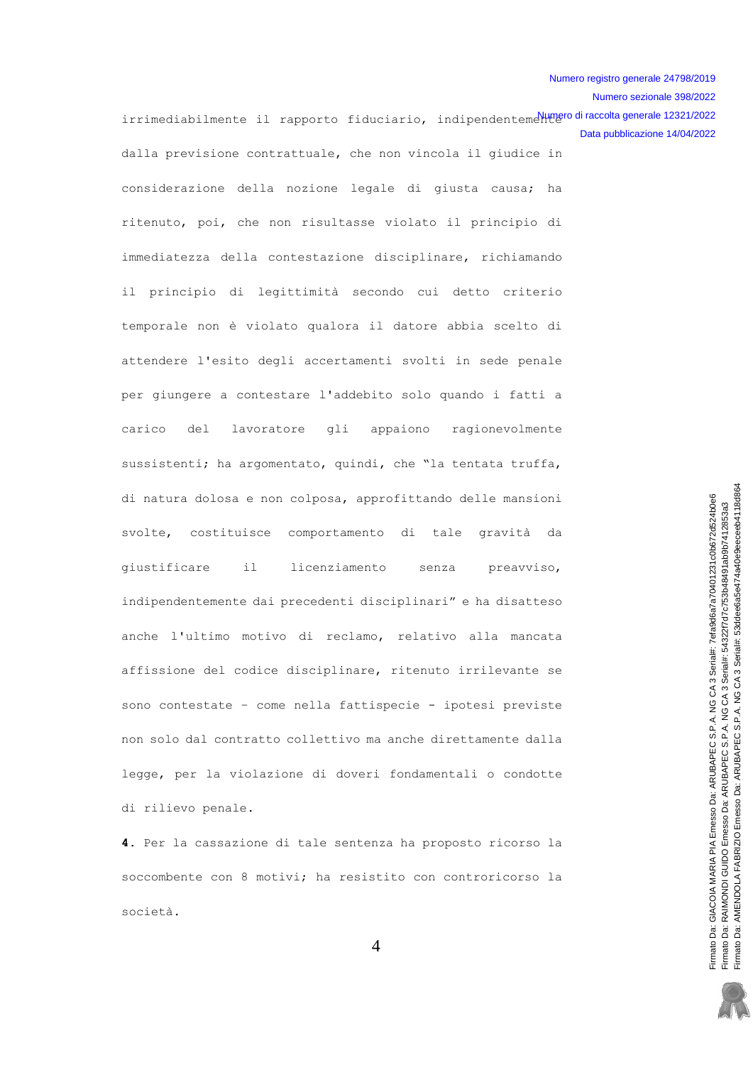Numero sezionale 398/2022 irrimediabilmente il rapporto fiduciario, indipendentemellungero di raccolta generale 12321/2022 Data pubblicazione 14/04/2022 dalla previsione contrattuale, che non vincola il giudice in considerazione della nozione legale di giusta causa; ha ritenuto, poi, che non risultasse violato il principio di immediatezza della contestazione disciplinare, richiamando il principio di legittimità secondo cui detto criterio temporale non è violato qualora il datore abbia scelto di attendere l'esito degli accertamenti svolti in sede penale per giungere a contestare l'addebito solo quando i fatti a carico lavoratore gli appaiono ragionevolmente del sussistenti; ha argomentato, quindi, che "la tentata truffa, di natura dolosa e non colposa, approfittando delle mansioni svolte, costituisce comportamento di tale gravità da qiustificare  $i1$ licenziamento senza preavviso, indipendentemente dai precedenti disciplinari" e ha disatteso anche l'ultimo motivo di reclamo, relativo alla mancata affissione del codice disciplinare, ritenuto irrilevante se sono contestate - come nella fattispecie - ipotesi previste non solo dal contratto collettivo ma anche direttamente dalla legge, per la violazione di doveri fondamentali o condotte

4. Per la cassazione di tale sentenza ha proposto ricorso la

di rilievo penale.

soccombente con 8 motivi; ha resistito con controricorso la società.

Firmato Da: AMENDOLA FABRIZIO Emesso Da: ARUBAPEC S.P.A. NG CA 3 Serial#: 53ddee6a5e474a40e9eeceeb4118d864 Firnato Da: GIACOIA MARIA PIA Emesso Da: ARUBAPEC S.P.A. NG CA 3 Serial#. 7efa9d6a7a70401231c0b672d524b0e6 Firmato Da: RAIMONDI GUIDO Emesso Da: ARUBAPEC S.P.A. NG CA 3 Serial#: 54322f7d7c753b48491ab9b7412853a3

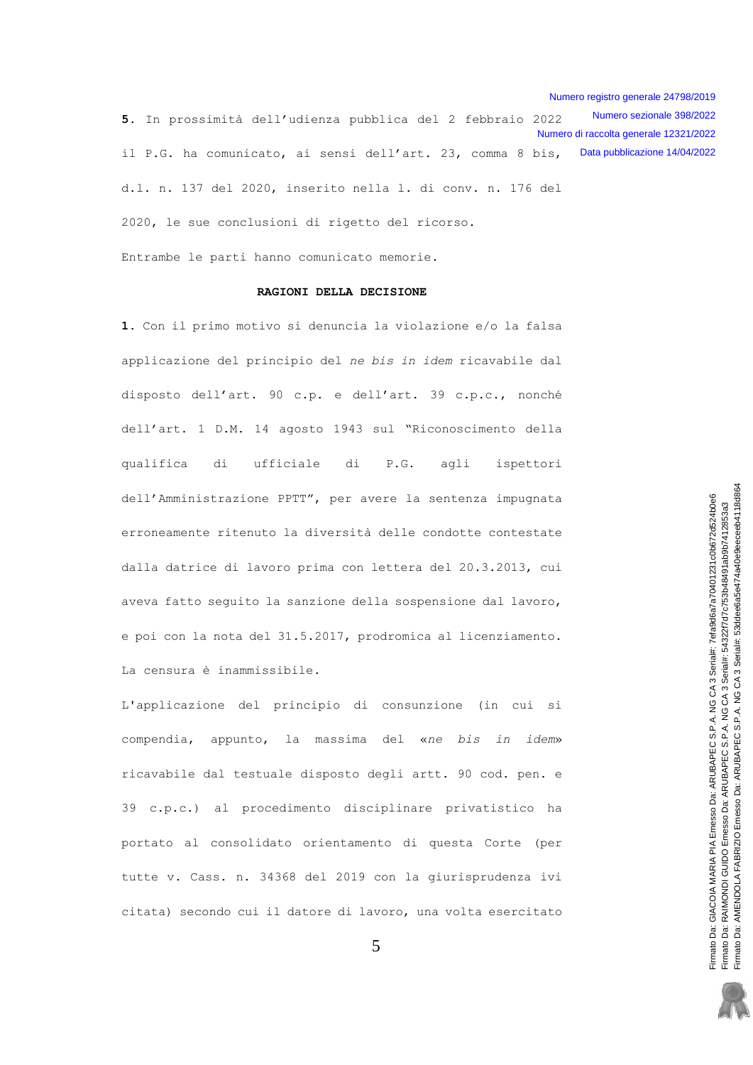Numero registro generale 24798/2019 Numero sezionale 398/2022 5. In prossimità dell'udienza pubblica del 2 febbraio 2022 Numero di raccolta generale 12321/2022 il P.G. ha comunicato, ai sensi dell'art. 23, comma 8 bis, Data pubblicazione 14/04/2022 d.l. n. 137 del 2020, inserito nella 1. di conv. n. 176 del 2020, le sue conclusioni di rigetto del ricorso.

Entrambe le parti hanno comunicato memorie.

#### RAGIONI DELLA DECISIONE

1. Con il primo motivo si denuncia la violazione e/o la falsa applicazione del principio del ne bis in idem ricavabile dal disposto dell'art. 90 c.p. e dell'art. 39 c.p.c., nonché dell'art. 1 D.M. 14 agosto 1943 sul "Riconoscimento della qualifica di ufficiale di  $P.G.$ agli ispettori dell'Amministrazione PPTT", per avere la sentenza impugnata erroneamente ritenuto la diversità delle condotte contestate dalla datrice di lavoro prima con lettera del 20.3.2013, cui aveva fatto seguito la sanzione della sospensione dal lavoro, e poi con la nota del 31.5.2017, prodromica al licenziamento. La censura è inammissibile.

L'applicazione del principio di consunzione (in cui si compendia, appunto, la massima del «ne bis in idem» ricavabile dal testuale disposto degli artt. 90 cod. pen. e 39 c.p.c.) al procedimento disciplinare privatistico ha portato al consolidato orientamento di questa Corte (per tutte v. Cass. n. 34368 del 2019 con la giurisprudenza ivi citata) secondo cui il datore di lavoro, una volta esercitato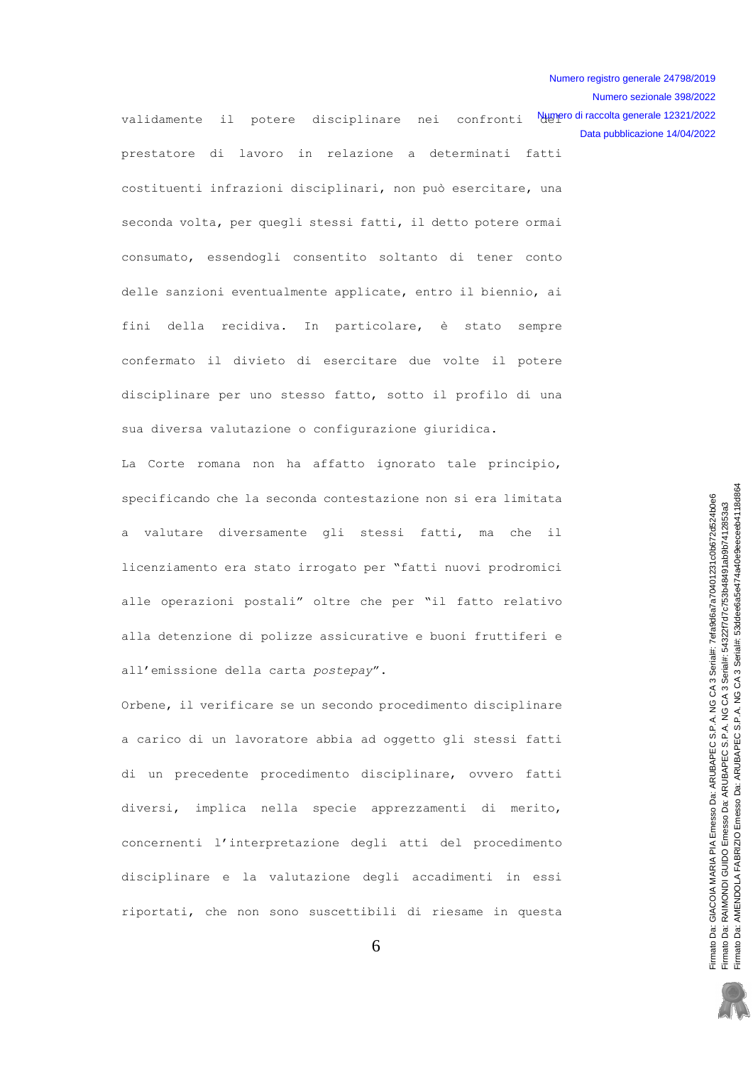Numero registro generale 24798/2019 Numero sezionale 398/2022

Data pubblicazione 14/04/2022

validamente il potere disciplinare nei confronti Numero dinaccoltagenerale12321/2022 prestatore di lavoro in relazione a determinati fatti costituenti infrazioni disciplinari, non può esercitare, una seconda volta, per quegli stessi fatti, il detto potere ormai consumato, essendogli consentito soltanto di tener conto delle sanzioni eventualmente applicate, entro il biennio, ai fini della recidiva. In particolare, è stato sempre confermato il divieto di esercitare due volte il potere disciplinare per uno stesso fatto, sotto il profilo di una sua diversa valutazione o configurazione giuridica.

La Corte romana non ha affatto ignorato tale principio, specificando che la seconda contestazione non si era limitata a valutare diversamente gli stessi fatti, ma che il licenziamento era stato irrogato per "fatti nuovi prodromici alle operazioni postali" oltre che per "il fatto relativo alla detenzione di polizze assicurative e buoni fruttiferi e all'emissione della carta postepay".

Orbene, il verificare se un secondo procedimento disciplinare a carico di un lavoratore abbia ad oggetto gli stessi fatti di un precedente procedimento disciplinare, ovvero fatti diversi, implica nella specie apprezzamenti di merito, concernenti l'interpretazione degli atti del procedimento disciplinare e la valutazione degli accadimenti in essi riportati, che non sono suscettibili di riesame in questa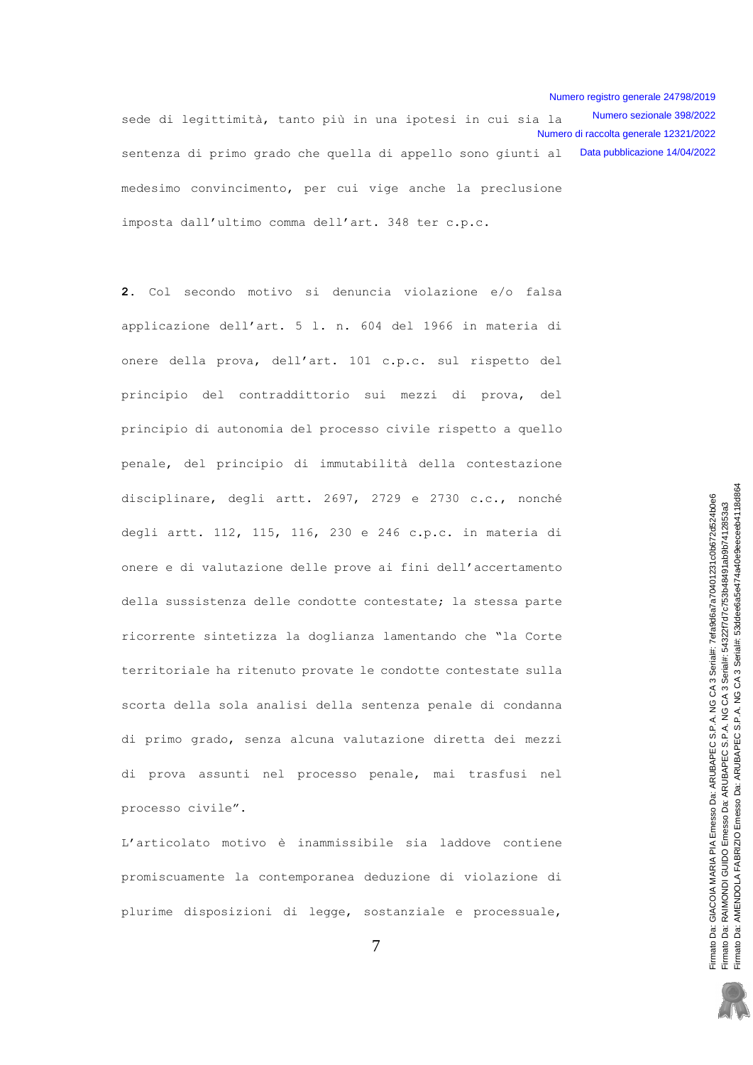Numero sezionale 398/2022 sede di legittimità, tanto più in una ipotesi in cui sia la Numero di raccolta generale 12321/2022 sentenza di primo grado che quella di appello sono giunti al Data pubblicazione 14/04/2022 medesimo convincimento, per cui vige anche la preclusione imposta dall'ultimo comma dell'art. 348 ter c.p.c.

2. Col secondo motivo si denuncia violazione e/o falsa applicazione dell'art. 5 l. n. 604 del 1966 in materia di onere della prova, dell'art. 101 c.p.c. sul rispetto del principio del contraddittorio sui mezzi di prova, del principio di autonomia del processo civile rispetto a quello penale, del principio di immutabilità della contestazione disciplinare, degli artt. 2697, 2729 e 2730 c.c., nonché degli artt. 112, 115, 116, 230 e 246 c.p.c. in materia di onere e di valutazione delle prove ai fini dell'accertamento della sussistenza delle condotte contestate; la stessa parte ricorrente sintetizza la doglianza lamentando che "la Corte territoriale ha ritenuto provate le condotte contestate sulla scorta della sola analisi della sentenza penale di condanna di primo grado, senza alcuna valutazione diretta dei mezzi di prova assunti nel processo penale, mai trasfusi nel processo civile".

L'articolato motivo è inammissibile sia laddove contiene promiscuamente la contemporanea deduzione di violazione di plurime disposizioni di legge, sostanziale e processuale,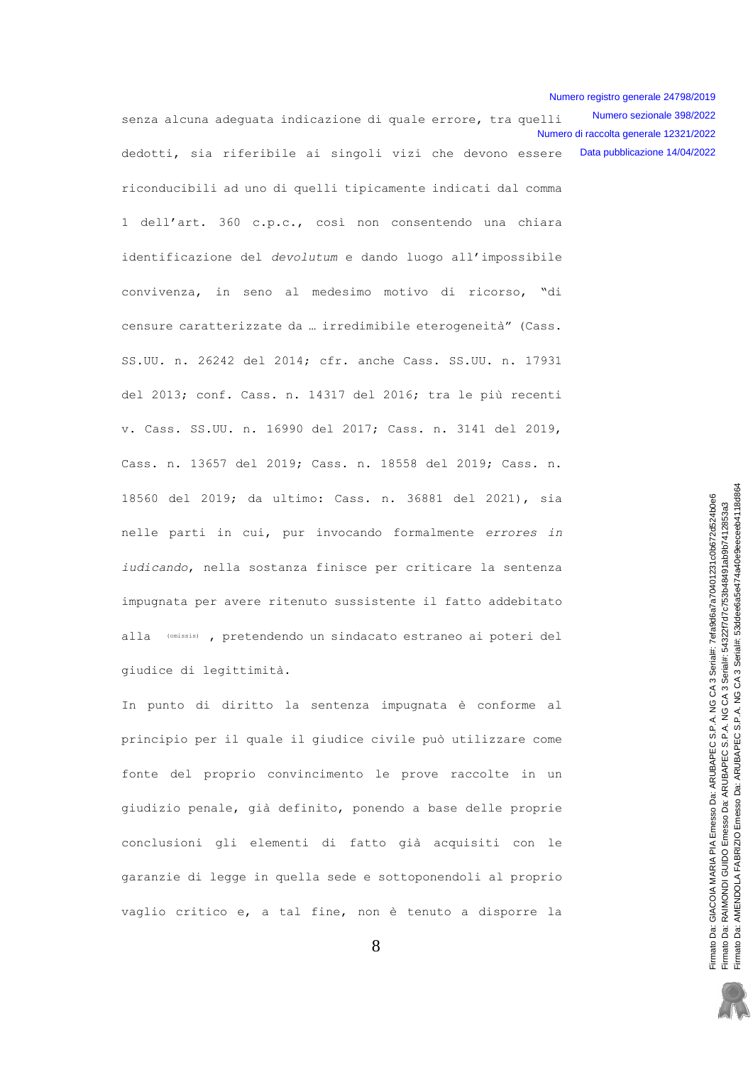Numero sezionale 398/2022 senza alcuna adequata indicazione di quale errore, tra quelli Numero di raccolta generale 12321/2022 dedotti, sia riferibile ai singoli vizi che devono essere Data pubblicazione 14/04/2022

riconducibili ad uno di quelli tipicamente indicati dal comma 1 dell'art. 360 c.p.c., così non consentendo una chiara identificazione del devolutum e dando luogo all'impossibile convivenza, in seno al medesimo motivo di ricorso, "di censure caratterizzate da ... irredimibile eterogeneità" (Cass. SS.UU. n. 26242 del 2014; cfr. anche Cass. SS.UU. n. 17931 del 2013; conf. Cass. n. 14317 del 2016; tra le più recenti v. Cass. SS. UU. n. 16990 del 2017; Cass. n. 3141 del 2019, Cass. n. 13657 del 2019; Cass. n. 18558 del 2019; Cass. n. 18560 del 2019; da ultimo: Cass. n. 36881 del 2021), sia nelle parti in cui, pur invocando formalmente errores in iudicando, nella sostanza finisce per criticare la sentenza impugnata per avere ritenuto sussistente il fatto addebitato alla (omissis), pretendendo un sindacato estraneo ai poteri del giudice di legittimità.

In punto di diritto la sentenza impugnata è conforme al principio per il quale il giudice civile può utilizzare come fonte del proprio convincimento le prove raccolte in un giudizio penale, già definito, ponendo a base delle proprie conclusioni gli elementi di fatto già acquisiti con le garanzie di legge in quella sede e sottoponendoli al proprio vaglio critico e, a tal fine, non è tenuto a disporre la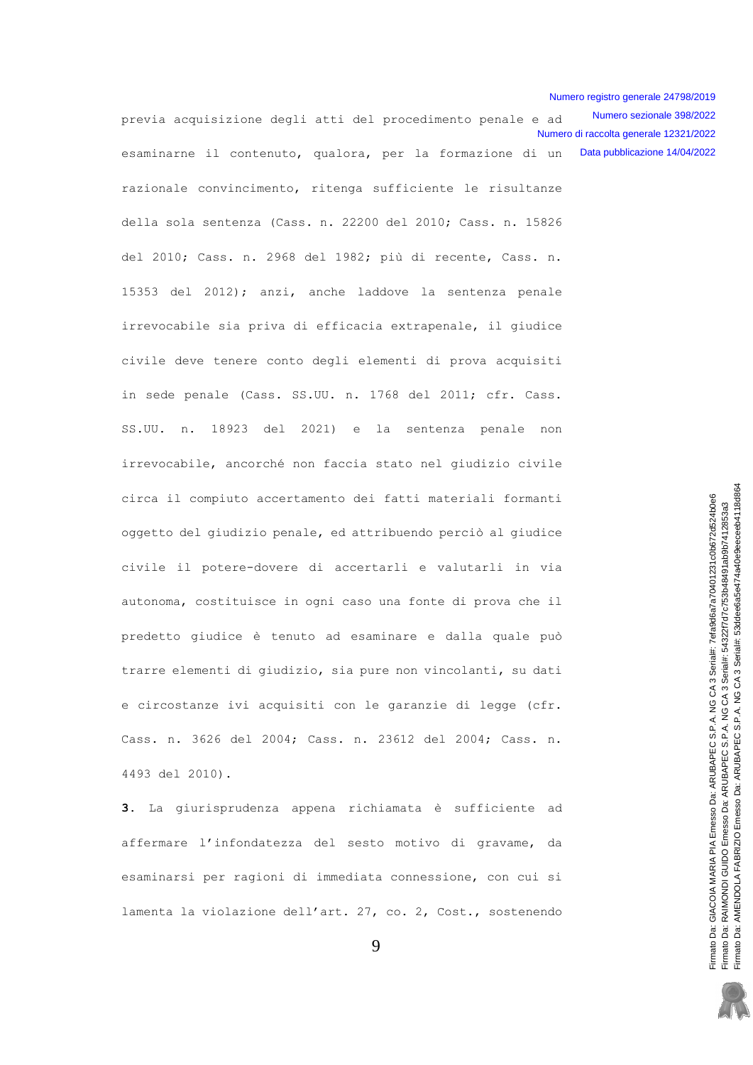Numero sezionale 398/2022 previa acquisizione degli atti del procedimento penale e ad Numero di raccolta generale 12321/2022 Data pubblicazione 14/04/2022 esaminarne il contenuto, qualora, per la formazione di un razionale convincimento, ritenga sufficiente le risultanze della sola sentenza (Cass. n. 22200 del 2010; Cass. n. 15826 del 2010; Cass. n. 2968 del 1982; più di recente, Cass. n. 15353 del 2012); anzi, anche laddove la sentenza penale irrevocabile sia priva di efficacia extrapenale, il giudice civile deve tenere conto degli elementi di prova acquisiti in sede penale (Cass. SS.UU. n. 1768 del 2011; cfr. Cass. 18923 del 2021) e la sentenza penale SS.UU. n. non irrevocabile, ancorché non faccia stato nel giudizio civile circa il compiuto accertamento dei fatti materiali formanti oggetto del giudizio penale, ed attribuendo perciò al giudice civile il potere-dovere di accertarli e valutarli in via autonoma, costituisce in ogni caso una fonte di prova che il predetto giudice è tenuto ad esaminare e dalla quale può trarre elementi di giudizio, sia pure non vincolanti, su dati e circostanze ivi acquisiti con le garanzie di legge (cfr. Cass. n. 3626 del 2004; Cass. n. 23612 del 2004; Cass. n. 4493 del 2010).

3. La giurisprudenza appena richiamata è sufficiente ad affermare l'infondatezza del sesto motivo di gravame, da esaminarsi per ragioni di immediata connessione, con cui si lamenta la violazione dell'art. 27, co. 2, Cost., sostenendo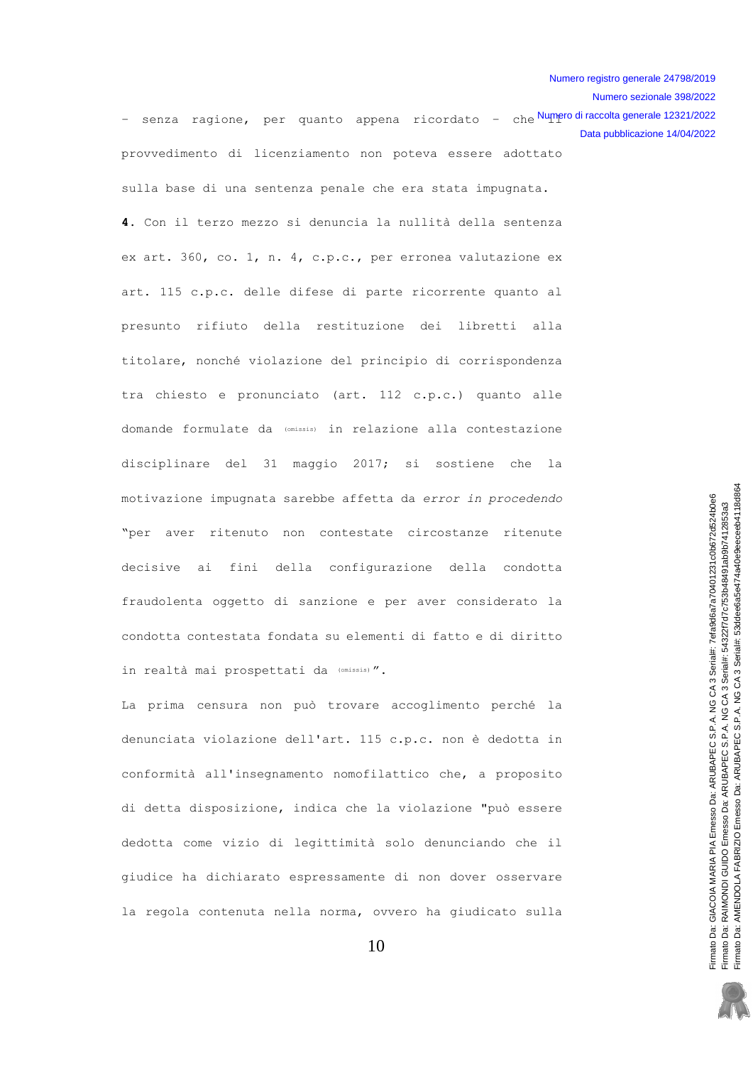Numero sezionale 398/2022

- senza ragione, per quanto appena ricordato - che<sup>Numero di raccolta generale 12321/2022</sup> provvedimento di licenziamento non poteva essere adottato sulla base di una sentenza penale che era stata impugnata. Data pubblicazione 14/04/2022

4. Con il terzo mezzo si denuncia la nullità della sentenza ex art. 360, co. 1, n. 4, c.p.c., per erronea valutazione ex art. 115 c.p.c. delle difese di parte ricorrente quanto al presunto rifiuto della restituzione dei libretti alla titolare, nonché violazione del principio di corrispondenza tra chiesto e pronunciato (art. 112 c.p.c.) quanto alle domande formulate da (omissis) in relazione alla contestazione disciplinare del 31 maggio 2017; si sostiene che la motivazione impugnata sarebbe affetta da error in procedendo "per aver ritenuto non contestate circostanze ritenute decisive ai fini della configurazione della condotta fraudolenta oggetto di sanzione e per aver considerato la condotta contestata fondata su elementi di fatto e di diritto in realtà mai prospettati da (Omissis)".

La prima censura non può trovare accoglimento perché la denunciata violazione dell'art. 115 c.p.c. non è dedotta in conformità all'insegnamento nomofilattico che, a proposito di detta disposizione, indica che la violazione "può essere dedotta come vizio di legittimità solo denunciando che il giudice ha dichiarato espressamente di non dover osservare la regola contenuta nella norma, ovvero ha giudicato sulla

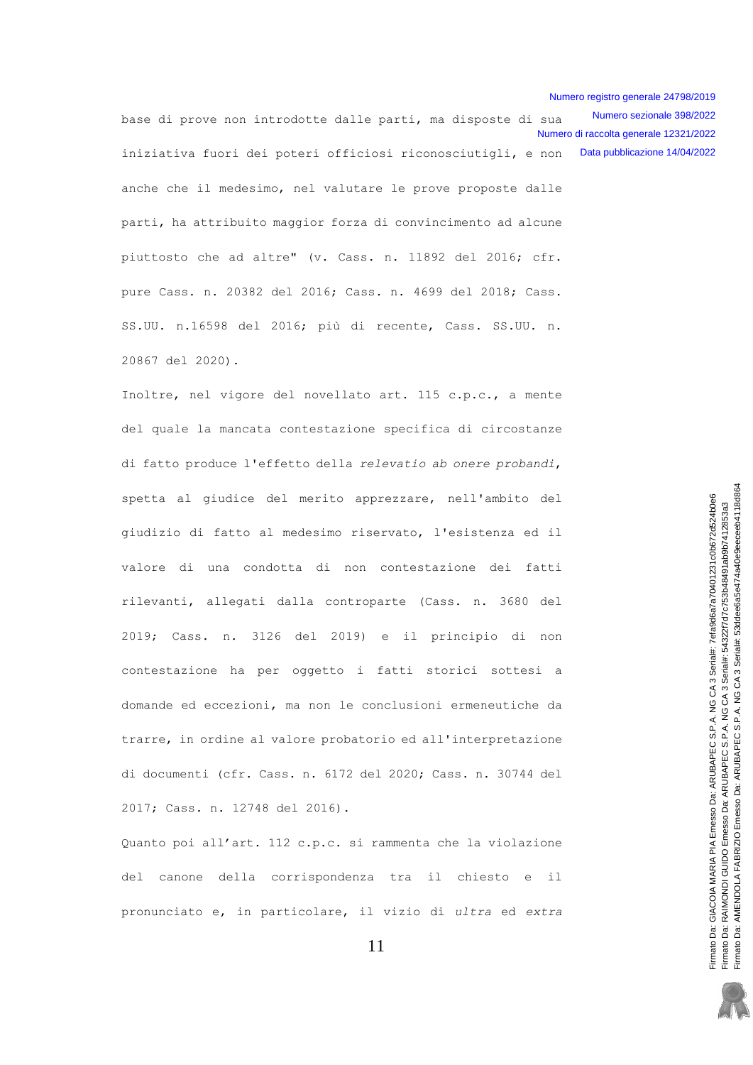base di prove non introdotte dalle parti, ma disposte di sua iniziativa fuori dei poteri officiosi riconosciutigli, e non anche che il medesimo, nel valutare le prove proposte dalle parti, ha attribuito maggior forza di convincimento ad alcune piuttosto che ad altre" (v. Cass. n. 11892 del 2016; cfr. pure Cass. n. 20382 del 2016; Cass. n. 4699 del 2018; Cass. SS.UU. n.16598 del 2016; più di recente, Cass. SS.UU. n. 20867 del 2020). Numero sezionale 398/2022 Numero di raccolta generale 12321/2022 Data pubblicazione 14/04/2022

Inoltre, nel vigore del novellato art. 115 c.p.c., a mente del quale la mancata contestazione specifica di circostanze di fatto produce l'effetto della relevatio ab onere probandi, spetta al giudice del merito apprezzare, nell'ambito del giudizio di fatto al medesimo riservato, l'esistenza ed il valore di una condotta di non contestazione dei fatti rilevanti, allegati dalla controparte (Cass. n. 3680 del 2019; Cass. n. 3126 del 2019) e il principio di non contestazione ha per oggetto i fatti storici sottesi a domande ed eccezioni, ma non le conclusioni ermeneutiche da trarre, in ordine al valore probatorio ed all'interpretazione di documenti (cfr. Cass. n. 6172 del 2020; Cass. n. 30744 del 2017; Cass. n. 12748 del 2016).

Quanto poi all'art. 112 c.p.c. si rammenta che la violazione del canone della corrispondenza tra il chiesto e il pronunciato e, in particolare, il vizio di ultra ed extra

11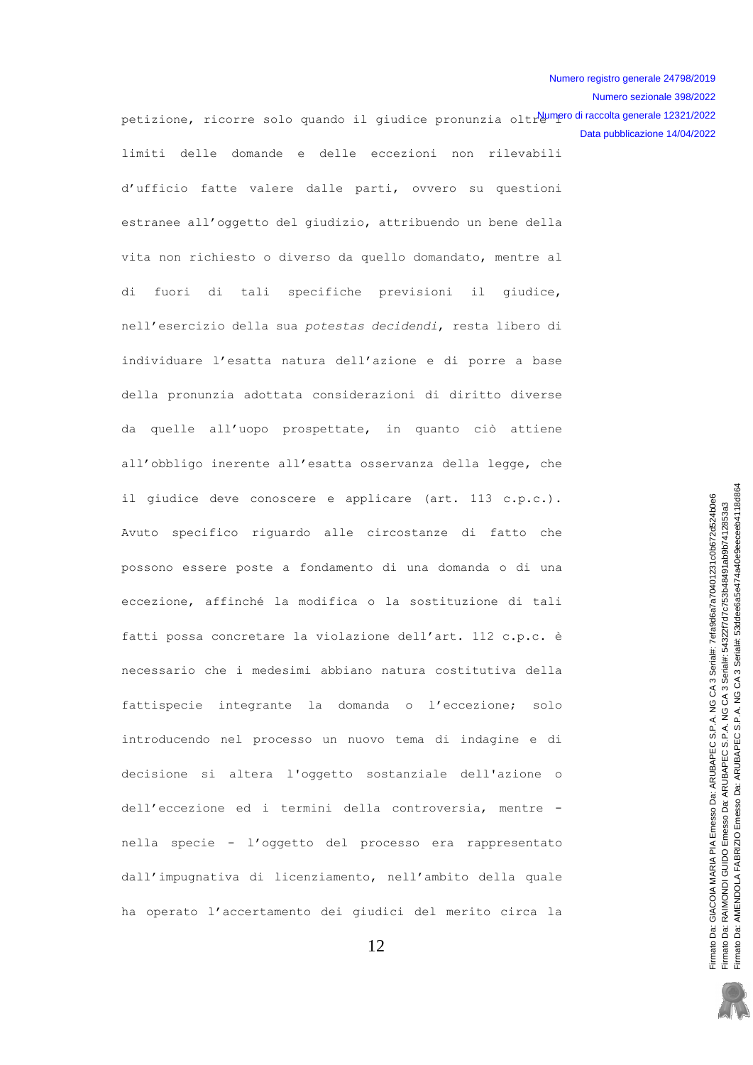Numero sezionale 398/2022

petizione, ricorre solo quando il giudice pronunzia oltr<mark>eumeno dinaccoltagenerale 12321/2022</mark> limiti delle domande e delle eccezioni non rilevabili d'ufficio fatte valere dalle parti, ovvero su questioni estranee all'oggetto del giudizio, attribuendo un bene della vita non richiesto o diverso da quello domandato, mentre al di fuori di tali specifiche previsioni il giudice, nell'esercizio della sua potestas decidendi, resta libero di individuare l'esatta natura dell'azione e di porre a base della pronunzia adottata considerazioni di diritto diverse da quelle all'uopo prospettate, in quanto ciò attiene all'obbligo inerente all'esatta osservanza della legge, che il qiudice deve conoscere e applicare (art. 113 c.p.c.). Avuto specifico riguardo alle circostanze di fatto che possono essere poste a fondamento di una domanda o di una eccezione, affinché la modifica o la sostituzione di tali fatti possa concretare la violazione dell'art. 112 c.p.c. è necessario che i medesimi abbiano natura costitutiva della fattispecie integrante la domanda o l'eccezione; solo introducendo nel processo un nuovo tema di indagine e di decisione si altera l'oggetto sostanziale dell'azione o dell'eccezione ed i termini della controversia, mentre nella specie - l'oggetto del processo era rappresentato dall'impugnativa di licenziamento, nell'ambito della quale ha operato l'accertamento dei giudici del merito circa la Data pubblicazione 14/04/2022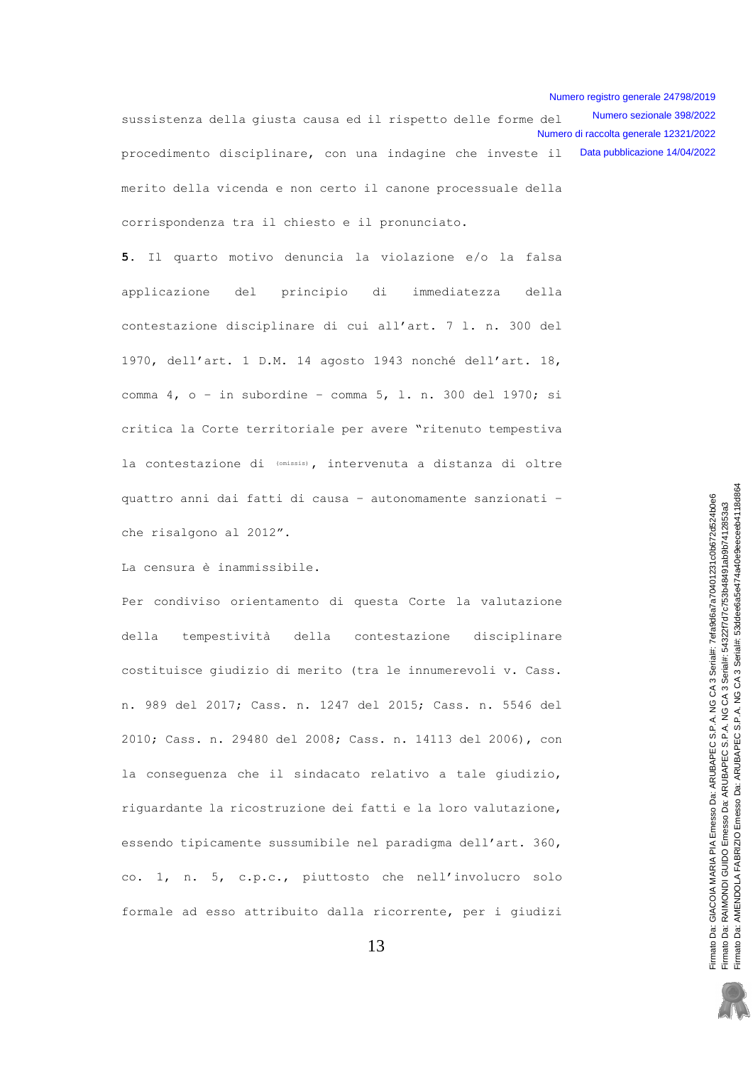Numero sezionale 398/2022 sussistenza della giusta causa ed il rispetto delle forme del Numero di raccolta generale 12321/2022 procedimento disciplinare, con una indagine che investe il Data pubblicazione 14/04/2022 merito della vicenda e non certo il canone processuale della corrispondenza tra il chiesto e il pronunciato.

5. Il quarto motivo denuncia la violazione e/o la falsa del principio di immediatezza della applicazione contestazione disciplinare di cui all'art. 7 l. n. 300 del 1970, dell'art. 1 D.M. 14 agosto 1943 nonché dell'art. 18, comma  $4$ ,  $o - in$  subordine - comma  $5$ , 1, n. 300 del 1970; si critica la Corte territoriale per avere "ritenuto tempestiva la contestazione di (omissis), intervenuta a distanza di oltre quattro anni dai fatti di causa - autonomamente sanzionati che risalgono al 2012".

La censura è inammissibile.

Per condiviso orientamento di questa Corte la valutazione della tempestività della contestazione disciplinare costituisce giudizio di merito (tra le innumerevoli v. Cass. n. 989 del 2017; Cass. n. 1247 del 2015; Cass. n. 5546 del 2010; Cass. n. 29480 del 2008; Cass. n. 14113 del 2006), con la conseguenza che il sindacato relativo a tale giudizio, riguardante la ricostruzione dei fatti e la loro valutazione, essendo tipicamente sussumibile nel paradigma dell'art. 360, co. 1, n. 5, c.p.c., piuttosto che nell'involucro solo formale ad esso attribuito dalla ricorrente, per i giudizi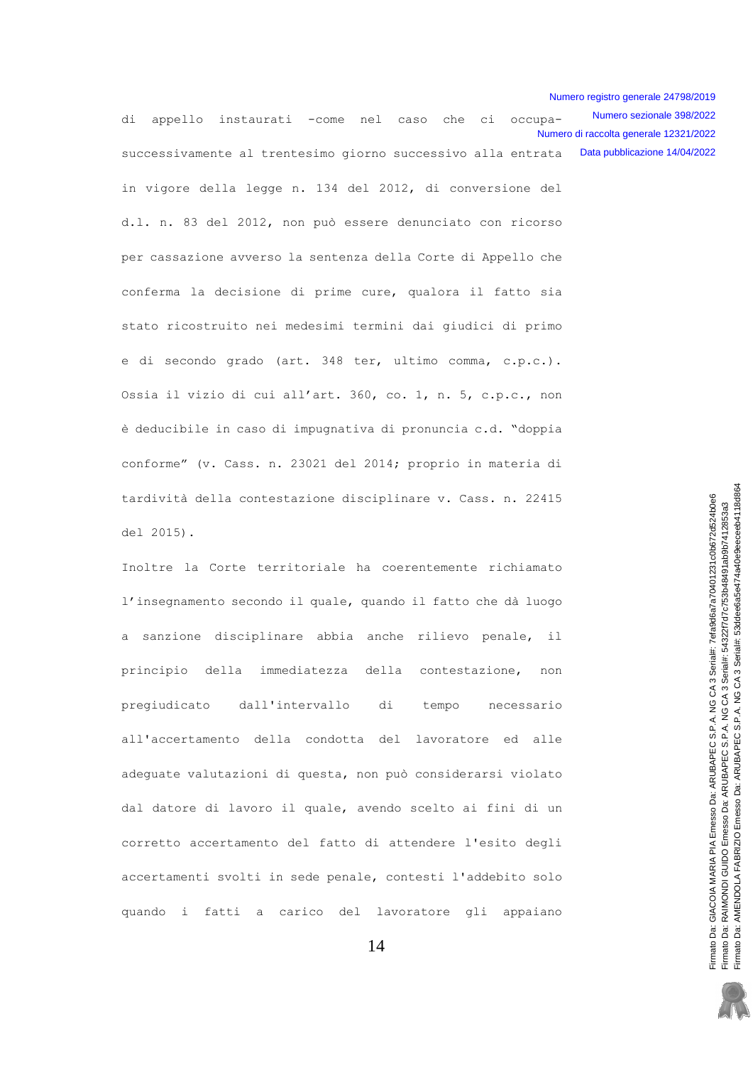Numero sezionale 398/2022 di appello instaurati -come nel caso che ci occupa-Numero di raccolta generale 12321/2022 successivamente al trentesimo giorno successivo alla entrata Data pubblicazione 14/04/2022

in vigore della legge n. 134 del 2012, di conversione del d.l. n. 83 del 2012, non può essere denunciato con ricorso per cassazione avverso la sentenza della Corte di Appello che conferma la decisione di prime cure, qualora il fatto sia stato ricostruito nei medesimi termini dai giudici di primo e di secondo grado (art. 348 ter, ultimo comma, c.p.c.). Ossia il vizio di cui all'art. 360, co. 1, n. 5, c.p.c., non è deducibile in caso di impugnativa di pronuncia c.d. "doppia conforme" (v. Cass. n. 23021 del 2014; proprio in materia di tardività della contestazione disciplinare v. Cass. n. 22415 del 2015).

Inoltre la Corte territoriale ha coerentemente richiamato l'insegnamento secondo il quale, quando il fatto che dà luogo a sanzione disciplinare abbia anche rilievo penale,  $\pm$ 1 principio della immediatezza della contestazione, non pregiudicato dall'intervallo di tempo necessario all'accertamento della condotta del lavoratore ed alle adeguate valutazioni di questa, non può considerarsi violato dal datore di lavoro il quale, avendo scelto ai fini di un corretto accertamento del fatto di attendere l'esito degli accertamenti svolti in sede penale, contesti l'addebito solo quando i fatti a carico del lavoratore gli appaiano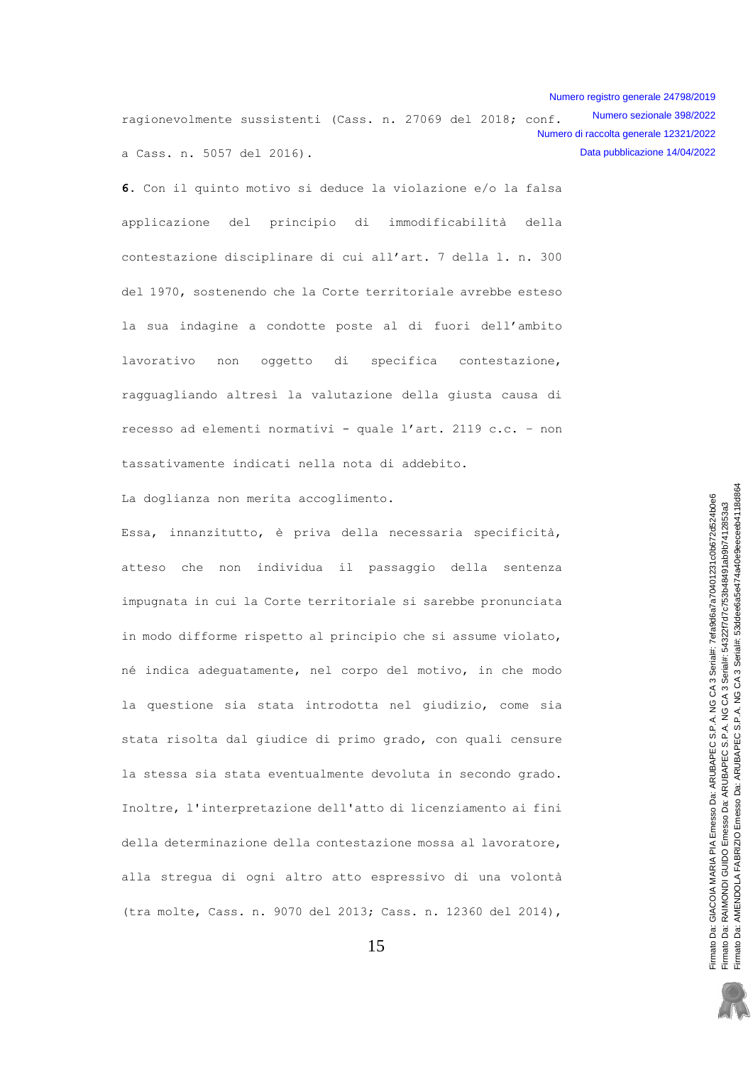Numero sezionale 398/2022 ragionevolmente sussistenti (Cass. n. 27069 del 2018; conf. Numero di raccolta generale 12321/2022 a Cass. n. 5057 del 2016). Data pubblicazione 14/04/2022

6. Con il quinto motivo si deduce la violazione e/o la falsa del principio di immodificabilità della applicazione contestazione disciplinare di cui all'art. 7 della 1. n. 300 del 1970, sostenendo che la Corte territoriale avrebbe esteso la sua indagine a condotte poste al di fuori dell'ambito oggetto di specifica lavorativo non contestazione, ragguagliando altresì la valutazione della giusta causa di recesso ad elementi normativi - quale l'art. 2119 c.c. - non tassativamente indicati nella nota di addebito.

La doglianza non merita accoglimento.

Essa, innanzitutto, è priva della necessaria specificità, atteso che non individua il passaggio della sentenza impugnata in cui la Corte territoriale si sarebbe pronunciata in modo difforme rispetto al principio che si assume violato, né indica adeguatamente, nel corpo del motivo, in che modo la questione sia stata introdotta nel giudizio, come sia stata risolta dal giudice di primo grado, con quali censure la stessa sia stata eventualmente devoluta in secondo grado. Inoltre, l'interpretazione dell'atto di licenziamento ai fini della determinazione della contestazione mossa al lavoratore, alla stregua di ogni altro atto espressivo di una volontà (tra molte, Cass. n. 9070 del 2013; Cass. n. 12360 del 2014),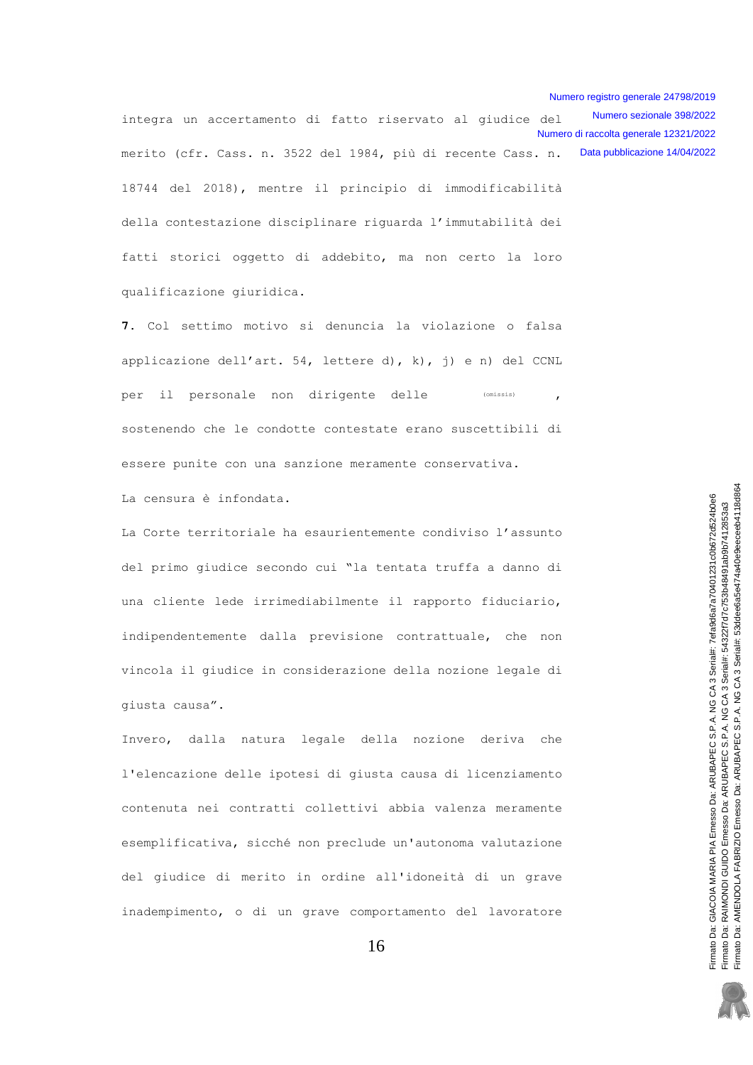Numero sezionale 398/2022 integra un accertamento di fatto riservato al giudice del Numero di raccolta generale 12321/2022 merito (cfr. Cass. n. 3522 del 1984, più di recente Cass. n. Data pubblicazione 14/04/2022 18744 del 2018), mentre il principio di immodificabilità della contestazione disciplinare riquarda l'immutabilità dei fatti storici oggetto di addebito, ma non certo la loro

7. Col settimo motivo si denuncia la violazione o falsa applicazione dell'art. 54, lettere d), k), j) e n) del CCNL per il personale non dirigente delle (omissis) sostenendo che le condotte contestate erano suscettibili di essere punite con una sanzione meramente conservativa.

La censura è infondata.

qualificazione giuridica.

La Corte territoriale ha esaurientemente condiviso l'assunto del primo giudice secondo cui "la tentata truffa a danno di una cliente lede irrimediabilmente il rapporto fiduciario, indipendentemente dalla previsione contrattuale, che non vincola il giudice in considerazione della nozione legale di qiusta causa".

Invero, dalla natura legale della nozione deriva che l'elencazione delle ipotesi di giusta causa di licenziamento contenuta nei contratti collettivi abbia valenza meramente esemplificativa, sicché non preclude un'autonoma valutazione del giudice di merito in ordine all'idoneità di un grave inadempimento, o di un grave comportamento del lavoratore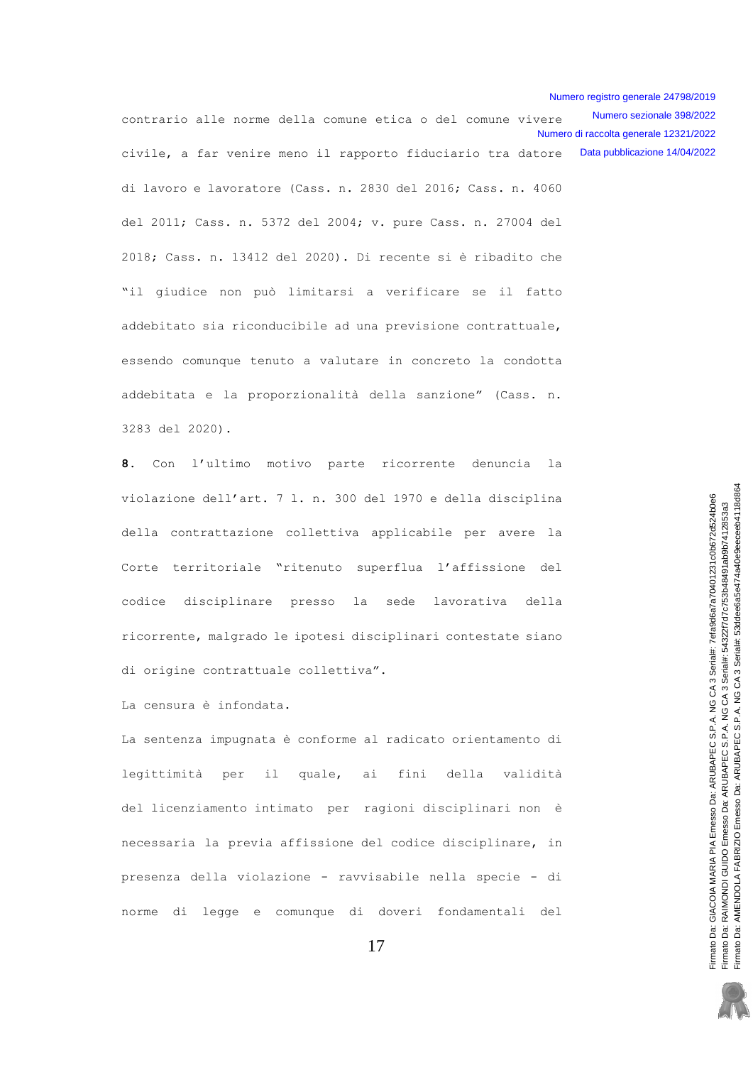Numero sezionale 398/2022 contrario alle norme della comune etica o del comune vivere Numero di raccolta generale 12321/2022 civile, a far venire meno il rapporto fiduciario tra datore Data pubblicazione 14/04/2022 di lavoro e lavoratore (Cass. n. 2830 del 2016; Cass. n. 4060 del 2011; Cass. n. 5372 del 2004; v. pure Cass. n. 27004 del 2018; Cass. n. 13412 del 2020). Di recente si è ribadito che "il giudice non può limitarsi a verificare se il fatto addebitato sia riconducibile ad una previsione contrattuale, essendo comunque tenuto a valutare in concreto la condotta addebitata e la proporzionalità della sanzione" (Cass. n. 3283 del 2020).

 $\mathbf{R}$ Con l'ultimo motivo parte ricorrente denuncia  $1a$ violazione dell'art. 7 l. n. 300 del 1970 e della disciplina della contrattazione collettiva applicabile per avere la Corte territoriale "ritenuto superflua l'affissione del codice disciplinare presso sede lavorativa della la ricorrente, malgrado le ipotesi disciplinari contestate siano di origine contrattuale collettiva".

La censura è infondata.

La sentenza impugnata è conforme al radicato orientamento di legittimità  $i1$ quale, ai fini della validità per del licenziamento intimato per ragioni disciplinari non è necessaria la previa affissione del codice disciplinare, in presenza della violazione - ravvisabile nella specie - di norme di legge e comunque di doveri fondamentali del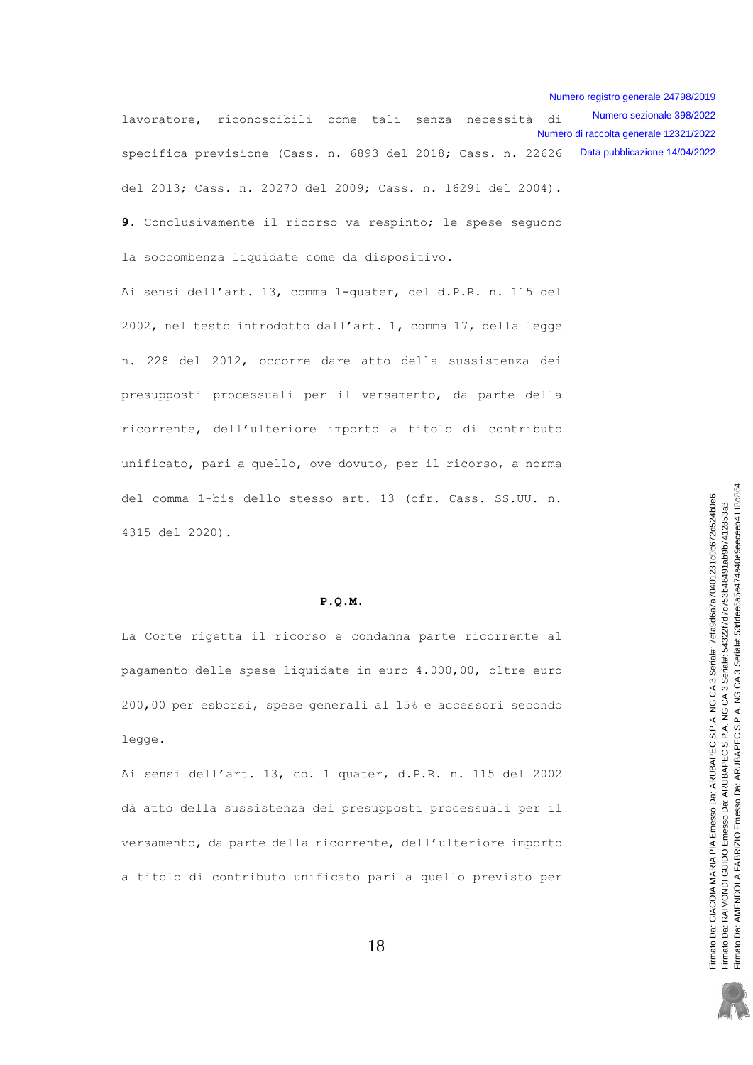Numero sezionale 398/2022 lavoratore, riconoscibili come tali senza necessità di Numero di raccolta generale 12321/2022 specifica previsione (Cass. n. 6893 del 2018; Cass. n. 22626 Data pubblicazione 14/04/2022 del 2013; Cass. n. 20270 del 2009; Cass. n. 16291 del 2004).

9. Conclusivamente il ricorso va respinto; le spese sequono la soccombenza liquidate come da dispositivo.

Ai sensi dell'art. 13, comma 1-quater, del d.P.R. n. 115 del 2002, nel testo introdotto dall'art. 1, comma 17, della legge n. 228 del 2012, occorre dare atto della sussistenza dei presupposti processuali per il versamento, da parte della ricorrente, dell'ulteriore importo a titolo di contributo unificato, pari a quello, ove dovuto, per il ricorso, a norma del comma 1-bis dello stesso art. 13 (cfr. Cass. SS.UU. n. 4315 del 2020).

### $P.0.M.$

La Corte rigetta il ricorso e condanna parte ricorrente al pagamento delle spese liquidate in euro 4.000,00, oltre euro 200,00 per esborsi, spese generali al 15% e accessori secondo legge.

Ai sensi dell'art. 13, co. 1 quater, d.P.R. n. 115 del 2002 dà atto della sussistenza dei presupposti processuali per il versamento, da parte della ricorrente, dell'ulteriore importo a titolo di contributo unificato pari a quello previsto per